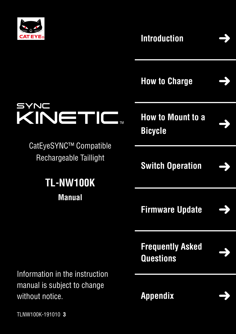

SYNC

**[Introduction](#page-1-0)**



**[How to Charge](#page-2-0)**



**[How to Mount to a](#page-3-0)  Bicycle**

I TM

**[Switch Operation](#page-4-0)**

**[Firmware Update](#page-5-0)**



**[Frequently Asked](#page-8-0)  Questions**



Information in the instruction manual is subject to change without notice.

CatEyeSYNC™ Compatible

KINETIC

Rechargeable Taillight

**TL-NW100K**

**Manual**

**[Appendix](#page-9-0)**



TLNW100K-191010 **3**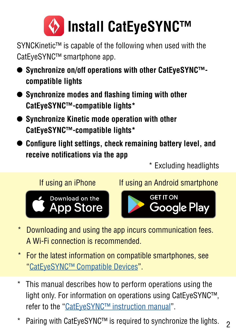<span id="page-1-0"></span>

SYNCKinetic™ is capable of the following when used with the CatEyeSYNC™ smartphone app.

- **• Synchronize on/off operations with other CatEyeSYNC™ compatible lights**
- **• Synchronize modes and flashing timing with other CatEyeSYNC™-compatible lights\***
- **• Synchronize Kinetic mode operation with other CatEyeSYNC™-compatible lights\***
- **• Configure light settings, check remaining battery level, and receive notifications via the app**

\* Excluding headlights



If using an iPhone If using an Android smartphone



- \* Downloading and using the app incurs communication fees. A Wi-Fi connection is recommended.
- \* For the latest information on compatible smartphones, see ["CatEyeSYNC™ Compatible Devices](https://cateye.com/data/resources/sync_compatible_device_en.pdf)".
- \* This manual describes how to perform operations using the light only. For information on operations using CatEyeSYNC™, refer to the "[CatEyeSYNC™ instruction manual"](https://www.cateye.com/manual/CatEyeSYNC_portal/).
- Pairing with CatEyeSYNC™ is required to synchronize the lights.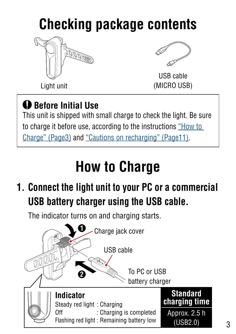# <span id="page-2-0"></span>**Checking package contents**





USB cable (MICRO USB)

#### $\bigoplus$  **Before Initial Use**

This unit is shipped with small charge to check the light. Be sure to charge it before use, according to the instructions ["How to](#page-2-1)  [Charge" \(Page3\)](#page-2-1) and ["Cautions on recharging" \(Page11\).](#page-10-0)

# <span id="page-2-1"></span>**How to Charge**

#### **1. Connect the light unit to your PC or a commercial USB battery charger using the USB cable.**

The indicator turns on and charging starts.

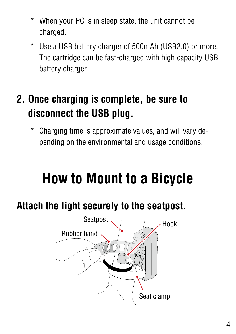- <span id="page-3-0"></span>When your PC is in sleep state, the unit cannot be charged.
- \* Use a USB battery charger of 500mAh (USB2.0) or more. The cartridge can be fast-charged with high capacity USB battery charger.

#### **2. Once charging is complete, be sure to disconnect the USB plug.**

Charging time is approximate values, and will vary depending on the environmental and usage conditions.

# **How to Mount to a Bicycle**

#### **Attach the light securely to the seatpost.**

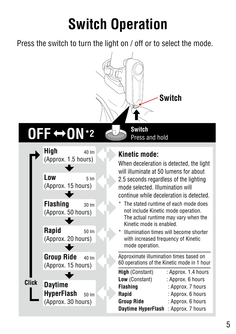# **Switch Operation**

<span id="page-4-0"></span>Press the switch to turn the light on / off or to select the mode.



# **OFF ON\*2**



#### **Kinetic mode:**

Press and hold

When deceleration is detected, the light will illuminate at 50 lumens for about 2.5 seconds regardless of the lighting mode selected. Illumination will continue while deceleration is detected.

- The stated runtime of each mode does not include Kinetic mode operation. The actual runtime may vary when the Kinetic mode is enabled.
- Illumination times will become shorter with increased frequency of Kinetic mode operation.

Approximate illumination times based on 60 operations of the Kinetic mode in 1 hour

| <b>High</b> (Constant)    | : Approx. 1.4 hours |  |
|---------------------------|---------------------|--|
| Low (Constant)            | : Approx. 6 hours   |  |
| <b>Flashing</b>           | : Approx. 7 hours   |  |
| Rapid                     | : Approx. 6 hours   |  |
| <b>Group Ride</b>         | : Approx. 6 hours   |  |
| <b>Daytime HyperFlash</b> | : Approx. 7 hours   |  |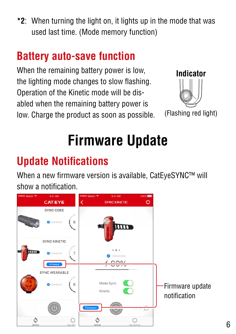<span id="page-5-0"></span>**\*2**: When turning the light on, it lights up in the mode that was used last time. (Mode memory function)

#### **Battery auto-save function**

When the remaining battery power is low, the lighting mode changes to slow flashing. Operation of the Kinetic mode will be disabled when the remaining battery power is low. Charge the product as soon as possible.



(Flashing red light)

# **Firmware Update**

## **Update Notifications**

When a new firmware version is available, CatEyeSYNC™ will show a notification.

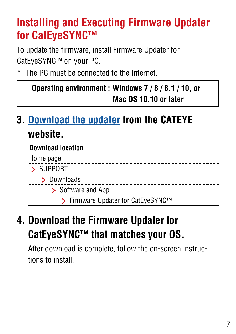#### **Installing and Executing Firmware Updater for CatEyeSYNC™**

To update the firmware, install Firmware Updater for CatEyeSYNC™ on your PC.

The PC must be connected to the Internet.

| Operating environment: Windows 7/8/8.1/10, or |
|-----------------------------------------------|
| Mac OS 10.10 or later                         |

#### **3. [Download the updater](https://www.cateye.com/intl/support/manual/CatEyeSYNC) from the CATEYE website.**

#### **Download location**

#### **4. Download the Firmware Updater for CatEyeSYNC™ that matches your OS.**

After download is complete, follow the on-screen instructions to install.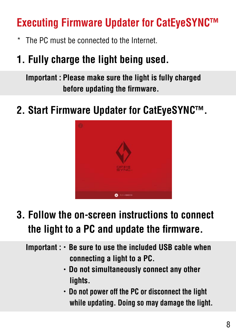#### **Executing Firmware Updater for CatEyeSYNC™**

\* The PC must be connected to the Internet.

#### **1. Fully charge the light being used.**

**Important : Please make sure the light is fully charged before updating the firmware.**

#### **2. Start Firmware Updater for CatEyeSYNC™.**



#### **3. Follow the on-screen instructions to connect the light to a PC and update the firmware.**

**Important :**・**Be sure to use the included USB cable when connecting a light to a PC.**

- ・**Do not simultaneously connect any other lights.**
- ・**Do not power off the PC or disconnect the light while updating. Doing so may damage the light.**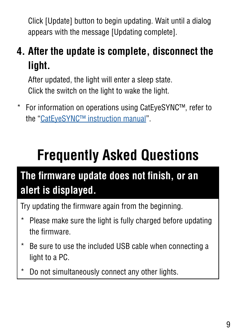<span id="page-8-0"></span>Click [Update] button to begin updating. Wait until a dialog appears with the message [Updating complete].

#### **4. After the update is complete, disconnect the light.**

After updated, the light will enter a sleep state. Click the switch on the light to wake the light.

\* For information on operations using CatEyeSYNC™, refer to the ["CatEyeSYNC™ instruction manual](https://www.cateye.com/manual/CatEyeSYNC_portal/)".

# **Frequently Asked Questions**

### **The firmware update does not finish, or an alert is displayed.**

Try updating the firmware again from the beginning.

- Please make sure the light is fully charged before updating the firmware.
- \* Be sure to use the included USB cable when connecting a light to a PC.
- \* Do not simultaneously connect any other lights.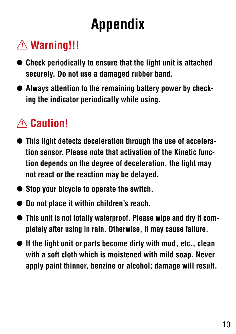# **Appendix**

### <span id="page-9-0"></span> **Warning!!!**

- **• Check periodically to ensure that the light unit is attached securely. Do not use a damaged rubber band.**
- **• Always attention to the remaining battery power by checking the indicator periodically while using.**

### A **Caution!**

- **• This light detects deceleration through the use of acceleration sensor. Please note that activation of the Kinetic function depends on the degree of deceleration, the light may not react or the reaction may be delayed.**
- **• Stop your bicycle to operate the switch.**
- **• Do not place it within children's reach.**
- **• This unit is not totally waterproof. Please wipe and dry it completely after using in rain. Otherwise, it may cause failure.**
- **• If the light unit or parts become dirty with mud, etc., clean with a soft cloth which is moistened with mild soap. Never apply paint thinner, benzine or alcohol; damage will result.**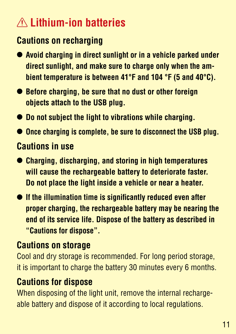### **Lithium-ion batteries**

#### <span id="page-10-0"></span>**Cautions on recharging**

- **• Avoid charging in direct sunlight or in a vehicle parked under direct sunlight, and make sure to charge only when the ambient temperature is between 41°F and 104 °F (5 and 40°C).**
- **• Before charging, be sure that no dust or other foreign objects attach to the USB plug.**
- **• Do not subject the light to vibrations while charging.**
- **• Once charging is complete, be sure to disconnect the USB plug.**

#### **Cautions in use**

- **• Charging, discharging, and storing in high temperatures will cause the rechargeable battery to deteriorate faster. Do not place the light inside a vehicle or near a heater.**
- **• If the illumination time is significantly reduced even after proper charging, the rechargeable battery may be nearing the end of its service life. Dispose of the battery as described in "Cautions for dispose".**

#### **Cautions on storage**

Cool and dry storage is recommended. For long period storage, it is important to charge the battery 30 minutes every 6 months.

#### **Cautions for dispose**

When disposing of the light unit, remove the internal rechargeable battery and dispose of it according to local regulations.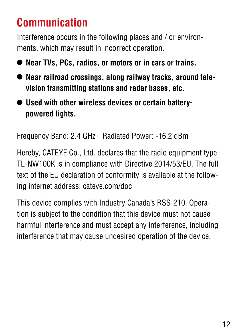### **Communication**

Interference occurs in the following places and / or environments, which may result in incorrect operation.

- **• Near TVs, PCs, radios, or motors or in cars or trains.**
- **• Near railroad crossings, along railway tracks, around television transmitting stations and radar bases, etc.**
- **• Used with other wireless devices or certain batterypowered lights.**

Frequency Band: 2.4 GHz Radiated Power: -16.2 dBm

Hereby, CATEYE Co., Ltd. declares that the radio equipment type TL-NW100K is in compliance with Directive 2014/53/EU. The full text of the EU declaration of conformity is available at the following internet address: cateye.com/doc

This device complies with Industry Canada's RSS-210. Operation is subject to the condition that this device must not cause harmful interference and must accept any interference, including interference that may cause undesired operation of the device.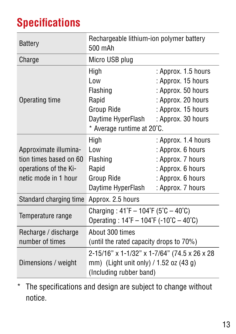### **Specifications**

| <b>Battery</b>                                                                                   | Rechargeable lithium-ion polymer battery<br>500 mAh                                                                                      |                                                                                                                                   |
|--------------------------------------------------------------------------------------------------|------------------------------------------------------------------------------------------------------------------------------------------|-----------------------------------------------------------------------------------------------------------------------------------|
| Charge                                                                                           | Micro USB plug                                                                                                                           |                                                                                                                                   |
| Operating time                                                                                   | High<br>Low<br>Flashing<br>Rapid<br>Group Ride<br>Daytime HyperFlash<br>* Average runtime at 20°C.                                       | : Approx. 1.5 hours<br>: Approx. 15 hours<br>: Approx. 50 hours<br>: Approx. 20 hours<br>: Approx. 15 hours<br>: Approx. 30 hours |
| Approximate illumina-<br>tion times based on 60<br>operations of the Ki-<br>netic mode in 1 hour | High<br>Low<br><b>Flashing</b><br>Rapid<br>Group Ride<br>Daytime HyperFlash                                                              | : Approx. 1.4 hours<br>: Approx. 6 hours<br>: Approx. 7 hours<br>: Approx. 6 hours<br>: Approx. 6 hours<br>: Approx. 7 hours      |
| Standard charging time                                                                           | Approx. 2.5 hours                                                                                                                        |                                                                                                                                   |
| Temperature range                                                                                | Charging: $41^{\circ}F - 104^{\circ}F (5^{\circ}C - 40^{\circ}C)$<br>Operating: $14^{\circ}F - 104^{\circ}F - 10^{\circ}C - 40^{\circ}C$ |                                                                                                                                   |
| Recharge / discharge<br>number of times                                                          | About 300 times<br>(until the rated capacity drops to $70\%$ )                                                                           |                                                                                                                                   |
| Dimensions / weight                                                                              | 2-15/16" x 1-1/32" x 1-7/64" (74.5 x 26 x 28<br>mm) (Light unit only) $/$ 1.52 oz (43 g)<br>(Including rubber band)                      |                                                                                                                                   |

\* The specifications and design are subject to change without notice.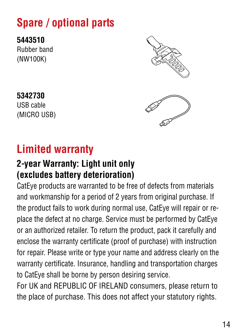### **Spare / optional parts**

**5443510** Rubber band (NW100K)



**5342730** USB cable (MICRO USB)

### **Limited warranty**

#### **2-year Warranty: Light unit only (excludes battery deterioration)**

CatEye products are warranted to be free of defects from materials and workmanship for a period of 2 years from original purchase. If the product fails to work during normal use, CatEye will repair or replace the defect at no charge. Service must be performed by CatEye or an authorized retailer. To return the product, pack it carefully and enclose the warranty certificate (proof of purchase) with instruction for repair. Please write or type your name and address clearly on the warranty certificate. Insurance, handling and transportation charges to CatEye shall be borne by person desiring service.

For UK and REPUBLIC OF IRELAND consumers, please return to the place of purchase. This does not affect your statutory rights.